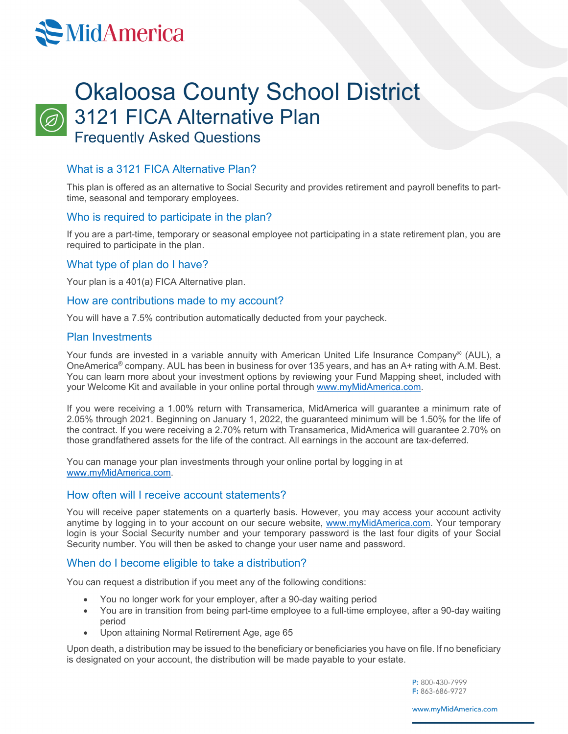# **MidAmerica**



# Okaloosa County School District 3121 FICA Alternative Plan Frequently Asked Questions

### What is a 3121 FICA Alternative Plan?

This plan is offered as an alternative to Social Security and provides retirement and payroll benefits to parttime, seasonal and temporary employees.

#### Who is required to participate in the plan?

If you are a part-time, temporary or seasonal employee not participating in a state retirement plan, you are required to participate in the plan.

#### What type of plan do I have?

Your plan is a 401(a) FICA Alternative plan.

#### How are contributions made to my account?

You will have a 7.5% contribution automatically deducted from your paycheck.

#### Plan Investments

Your funds are invested in a variable annuity with American United Life Insurance Company® (AUL), a OneAmerica® company. AUL has been in business for over 135 years, and has an A+ rating with A.M. Best. You can learn more about your investment options by reviewing your Fund Mapping sheet, included with your Welcome Kit and available in your online portal through [www.myMidAmerica.com.](http://www.mymidamerica.com/)

If you were receiving a 1.00% return with Transamerica, MidAmerica will guarantee a minimum rate of 2.05% through 2021. Beginning on January 1, 2022, the guaranteed minimum will be 1.50% for the life of the contract. If you were receiving a 2.70% return with Transamerica, MidAmerica will guarantee 2.70% on those grandfathered assets for the life of the contract. All earnings in the account are tax-deferred.

You can manage your plan investments through your online portal by logging in at [www.myMidAmerica.com.](http://www.mymidamerica.com/)

#### How often will I receive account statements?

You will receive paper statements on a quarterly basis. However, you may access your account activity anytime by logging in to your account on our secure website, [www.myMidAmerica.com.](http://www.mymidamerica.com/) Your temporary login is your Social Security number and your temporary password is the last four digits of your Social Security number. You will then be asked to change your user name and password.

#### When do I become eligible to take a distribution?

You can request a distribution if you meet any of the following conditions:

- You no longer work for your employer, after a 90-day waiting period
- You are in transition from being part-time employee to a full-time employee, after a 90-day waiting period
- Upon attaining Normal Retirement Age, age 65

Upon death, a distribution may be issued to the beneficiary or beneficiaries you have on file. If no beneficiary is designated on your account, the distribution will be made payable to your estate.

> P: 800-430-7999 F: 863-686-9727

www.myMidAmerica.com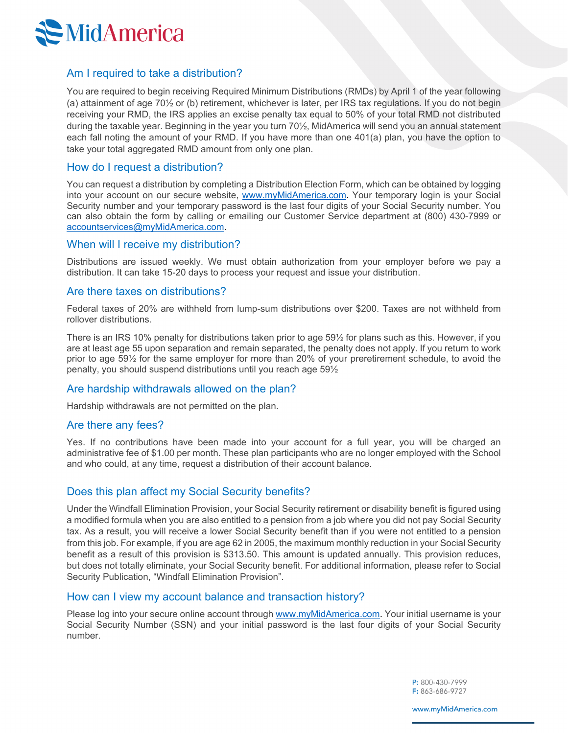

#### Am I required to take a distribution?

You are required to begin receiving Required Minimum Distributions (RMDs) by April 1 of the year following (a) attainment of age 70½ or (b) retirement, whichever is later, per IRS tax regulations. If you do not begin receiving your RMD, the IRS applies an excise penalty tax equal to 50% of your total RMD not distributed during the taxable year. Beginning in the year you turn 70½, MidAmerica will send you an annual statement each fall noting the amount of your RMD. If you have more than one 401(a) plan, you have the option to take your total aggregated RMD amount from only one plan.

#### How do I request a distribution?

You can request a distribution by completing a Distribution Election Form, which can be obtained by logging into your account on our secure website, [www.myMidAmerica.com.](http://www.midamerica.biz/) Your temporary login is your Social Security number and your temporary password is the last four digits of your Social Security number. You can also obtain the form by calling or emailing our Customer Service department at (800) 430-7999 or [accountservices@myMidAmerica.com.](mailto:accountservices@midamerica.biz)

#### When will I receive my distribution?

Distributions are issued weekly. We must obtain authorization from your employer before we pay a distribution. It can take 15-20 days to process your request and issue your distribution.

#### Are there taxes on distributions?

Federal taxes of 20% are withheld from lump-sum distributions over \$200. Taxes are not withheld from rollover distributions.

There is an IRS 10% penalty for distributions taken prior to age 59½ for plans such as this. However, if you are at least age 55 upon separation and remain separated, the penalty does not apply. If you return to work prior to age 59½ for the same employer for more than 20% of your preretirement schedule, to avoid the penalty, you should suspend distributions until you reach age 59½

#### Are hardship withdrawals allowed on the plan?

Hardship withdrawals are not permitted on the plan.

#### Are there any fees?

Yes. If no contributions have been made into your account for a full year, you will be charged an administrative fee of \$1.00 per month. These plan participants who are no longer employed with the School and who could, at any time, request a distribution of their account balance.

#### Does this plan affect my Social Security benefits?

Under the Windfall Elimination Provision, your Social Security retirement or disability benefit is figured using a modified formula when you are also entitled to a pension from a job where you did not pay Social Security tax. As a result, you will receive a lower Social Security benefit than if you were not entitled to a pension from this job. For example, if you are age 62 in 2005, the maximum monthly reduction in your Social Security benefit as a result of this provision is \$313.50. This amount is updated annually. This provision reduces, but does not totally eliminate, your Social Security benefit. For additional information, please refer to Social Security Publication, "Windfall Elimination Provision".

#### How can I view my account balance and transaction history?

Please log into your secure online account through [www.myMidAmerica.com.](http://www.mymidamerica.com/) Your initial username is your Social Security Number (SSN) and your initial password is the last four digits of your Social Security number.

> P: 800-430-7999 F: 863-686-9727

www.myMidAmerica.com